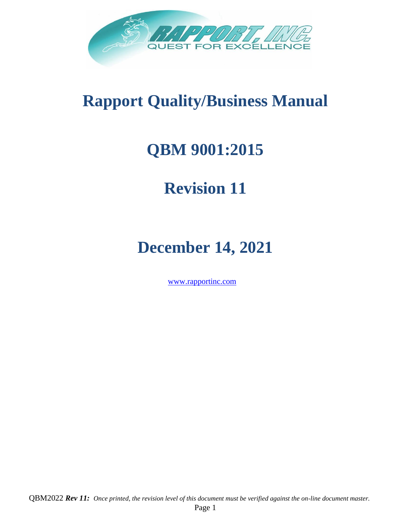

# **Rapport Quality/Business Manual**

# **QBM 9001:2015**

# **Revision 11**

# **December 14, 2021**

[www.rapportinc.com](http://www.rapportinc.com/)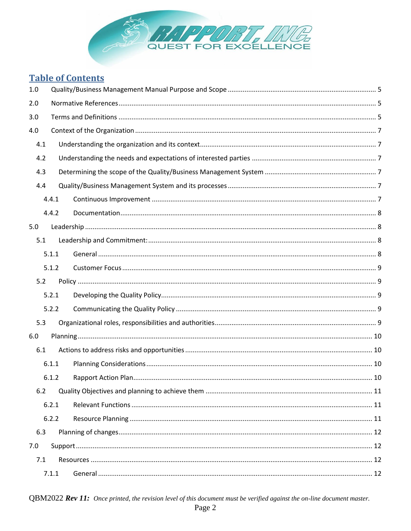

# **Table of Contents**

| 1.0 |       |  |  |  |
|-----|-------|--|--|--|
| 2.0 |       |  |  |  |
| 3.0 |       |  |  |  |
| 4.0 |       |  |  |  |
| 4.1 |       |  |  |  |
| 4.2 |       |  |  |  |
| 4.3 |       |  |  |  |
| 4.4 |       |  |  |  |
|     | 4.4.1 |  |  |  |
|     | 4.4.2 |  |  |  |
| 5.0 |       |  |  |  |
| 5.1 |       |  |  |  |
|     | 5.1.1 |  |  |  |
|     | 5.1.2 |  |  |  |
| 5.2 |       |  |  |  |
|     | 5.2.1 |  |  |  |
|     | 5.2.2 |  |  |  |
| 5.3 |       |  |  |  |
| 6.0 |       |  |  |  |
| 6.1 |       |  |  |  |
|     | 6.1.1 |  |  |  |
|     | 6.1.2 |  |  |  |
| 6.2 |       |  |  |  |
|     | 6.2.1 |  |  |  |
|     | 6.2.2 |  |  |  |
| 6.3 |       |  |  |  |
| 7.0 |       |  |  |  |
| 7.1 |       |  |  |  |
|     | 7.1.1 |  |  |  |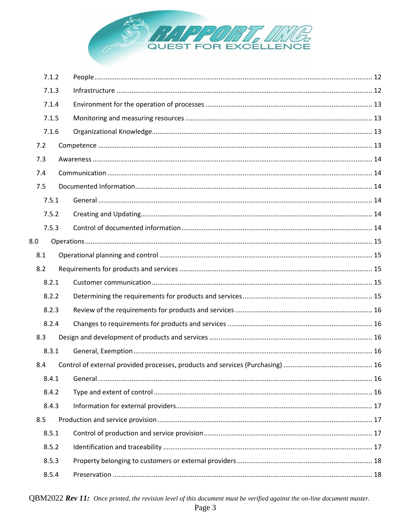

|     | 7.1.2 |  |
|-----|-------|--|
|     | 7.1.3 |  |
|     | 7.1.4 |  |
|     | 7.1.5 |  |
|     | 7.1.6 |  |
| 7.2 |       |  |
| 7.3 |       |  |
| 7.4 |       |  |
| 7.5 |       |  |
|     | 7.5.1 |  |
|     | 7.5.2 |  |
|     | 7.5.3 |  |
| 8.0 |       |  |
| 8.1 |       |  |
| 8.2 |       |  |
|     | 8.2.1 |  |
|     | 8.2.2 |  |
|     | 8.2.3 |  |
|     | 8.2.4 |  |
| 8.3 |       |  |
|     | 8.3.1 |  |
| 8.4 |       |  |
|     | 8.4.1 |  |
|     | 8.4.2 |  |
|     | 8.4.3 |  |
| 8.5 |       |  |
|     | 8.5.1 |  |
|     | 8.5.2 |  |
|     | 8.5.3 |  |
|     | 8.5.4 |  |

QBM2022  $Rev II$ : Once printed, the revision level of this document must be verified against the on-line document master.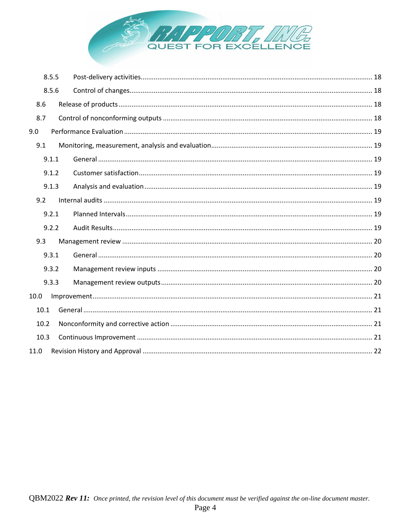

| 8.5.5 |  |  |
|-------|--|--|
| 8.5.6 |  |  |
| 8.6   |  |  |
| 8.7   |  |  |
| 9.0   |  |  |
| 9.1   |  |  |
| 9.1.1 |  |  |
| 9.1.2 |  |  |
| 9.1.3 |  |  |
| 9.2   |  |  |
| 9.2.1 |  |  |
| 9.2.2 |  |  |
| 9.3   |  |  |
| 9.3.1 |  |  |
| 9.3.2 |  |  |
| 9.3.3 |  |  |
| 10.0  |  |  |
| 10.1  |  |  |
| 10.2  |  |  |
| 10.3  |  |  |
| 11.0  |  |  |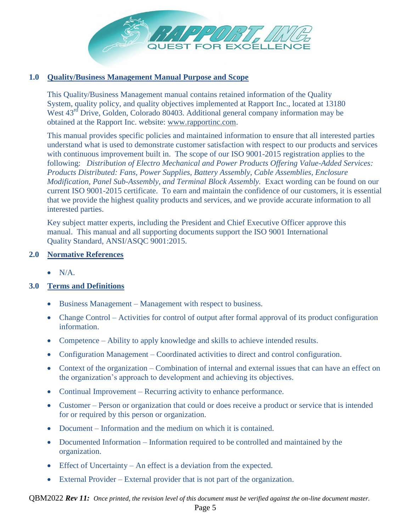

# <span id="page-4-0"></span>**1.0 Quality/Business Management Manual Purpose and Scope**

This Quality/Business Management manual contains retained information of the Quality System, quality policy, and quality objectives implemented at Rapport Inc., located at 13180 West 43<sup>rd</sup> Drive, Golden, Colorado 80403. Additional general company information may be obtained at the Rapport Inc. website: [www.rapportinc.com.](http://www.rapportinc.com/)

This manual provides specific policies and maintained information to ensure that all interested parties understand what is used to demonstrate customer satisfaction with respect to our products and services with continuous improvement built in. The scope of our ISO 9001-2015 registration applies to the following: *Distribution of Electro Mechanical and Power Products Offering Value-Added Services: Products Distributed: Fans, Power Supplies, Battery Assembly, Cable Assemblies, Enclosure Modification, Panel Sub-Assembly, and Terminal Block Assembly.* Exact wording can be found on our current ISO 9001-2015 certificate. To earn and maintain the confidence of our customers, it is essential that we provide the highest quality products and services, and we provide accurate information to all interested parties.

Key subject matter experts, including the President and Chief Executive Officer approve this manual. This manual and all supporting documents support the ISO 9001 International Quality Standard, ANSI/ASQC 9001:2015.

#### <span id="page-4-1"></span>**2.0 Normative References**

 $\bullet$  N/A.

# <span id="page-4-2"></span>**3.0 Terms and Definitions**

- Business Management Management with respect to business.
- Change Control Activities for control of output after formal approval of its product configuration information.
- Competence Ability to apply knowledge and skills to achieve intended results.
- Configuration Management Coordinated activities to direct and control configuration.
- Context of the organization Combination of internal and external issues that can have an effect on the organization's approach to development and achieving its objectives.
- Continual Improvement Recurring activity to enhance performance.
- Customer Person or organization that could or does receive a product or service that is intended for or required by this person or organization.
- Document Information and the medium on which it is contained.
- Documented Information Information required to be controlled and maintained by the organization.
- Effect of Uncertainty An effect is a deviation from the expected.
- External Provider External provider that is not part of the organization.

# QBM2022 *Rev 11: Once printed, the revision level of this document must be verified against the on-line document master.*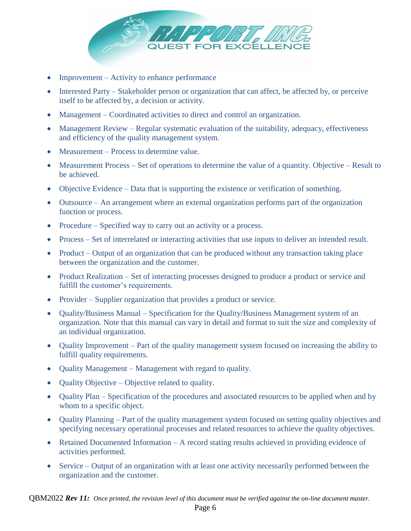

- Improvement Activity to enhance performance
- Interested Party Stakeholder person or organization that can affect, be affected by, or perceive itself to be affected by, a decision or activity.
- Management Coordinated activities to direct and control an organization.
- Management Review Regular systematic evaluation of the suitability, adequacy, effectiveness and efficiency of the quality management system.
- Measurement Process to determine value.
- Measurement Process Set of operations to determine the value of a quantity. Objective Result to be achieved.
- Objective Evidence Data that is supporting the existence or verification of something.
- Outsource An arrangement where an external organization performs part of the organization function or process.
- Procedure Specified way to carry out an activity or a process.
- Process Set of interrelated or interacting activities that use inputs to deliver an intended result.
- Product Output of an organization that can be produced without any transaction taking place between the organization and the customer.
- Product Realization Set of interacting processes designed to produce a product or service and fulfill the customer's requirements.
- Provider Supplier organization that provides a product or service.
- Quality/Business Manual Specification for the Quality/Business Management system of an organization. Note that this manual can vary in detail and format to suit the size and complexity of an individual organization.
- Quality Improvement Part of the quality management system focused on increasing the ability to fulfill quality requirements.
- Quality Management Management with regard to quality.
- Quality Objective Objective related to quality.
- Quality Plan Specification of the procedures and associated resources to be applied when and by whom to a specific object.
- Quality Planning Part of the quality management system focused on setting quality objectives and specifying necessary operational processes and related resources to achieve the quality objectives.
- Retained Documented Information A record stating results achieved in providing evidence of activities performed.
- Service Output of an organization with at least one activity necessarily performed between the organization and the customer.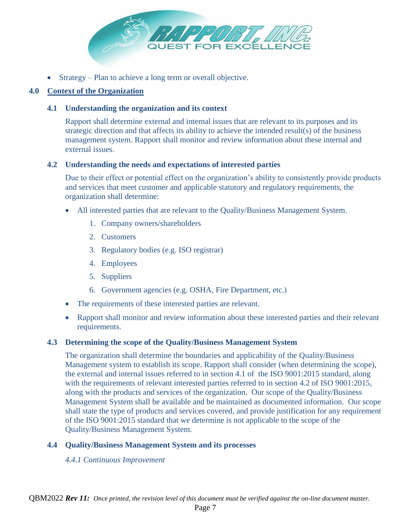

• Strategy – Plan to achieve a long term or overall objective.

# <span id="page-6-1"></span><span id="page-6-0"></span>**4.0 Context of the Organization**

#### **4.1 Understanding the organization and its context**

Rapport shall determine external and internal issues that are relevant to its purposes and its strategic direction and that affects its ability to achieve the intended result(s) of the business management system. Rapport shall monitor and review information about these internal and external issues.

#### <span id="page-6-2"></span>**4.2 Understanding the needs and expectations of interested parties**

Due to their effect or potential effect on the organization's ability to consistently provide products and services that meet customer and applicable statutory and regulatory requirements, the organization shall determine:

- All interested parties that are relevant to the Quality/Business Management System.
	- 1. Company owners/shareholders
	- 2. Customers
	- 3. Regulatory bodies (e.g. ISO registrar)
	- 4. Employees
	- 5. Suppliers
	- 6. Government agencies (e.g. OSHA, Fire Department, etc.)
- The requirements of these interested parties are relevant.
- Rapport shall monitor and review information about these interested parties and their relevant requirements.

#### <span id="page-6-3"></span>**4.3 Determining the scope of the Quality/Business Management System**

The organization shall determine the boundaries and applicability of the Quality/Business Management system to establish its scope. Rapport shall consider (when determining the scope), the external and internal issues referred to in section 4.1 of the ISO 9001:2015 standard, along with the requirements of relevant interested parties referred to in section 4.2 of ISO 9001:2015, along with the products and services of the organization. Our scope of the Quality/Business Management System shall be available and be maintained as documented information. Our scope shall state the type of products and services covered, and provide justification for any requirement of the ISO 9001:2015 standard that we determine is not applicable to the scope of the Quality/Business Management System.

# <span id="page-6-5"></span><span id="page-6-4"></span>**4.4 Quality/Business Management System and its processes**

#### *4.4.1 Continuous Improvement*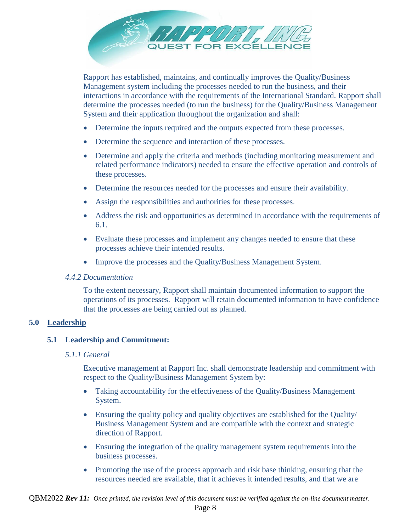

Rapport has established, maintains, and continually improves the Quality/Business Management system including the processes needed to run the business, and their interactions in accordance with the requirements of the International Standard. Rapport shall determine the processes needed (to run the business) for the Quality/Business Management System and their application throughout the organization and shall:

- Determine the inputs required and the outputs expected from these processes.
- Determine the sequence and interaction of these processes.
- Determine and apply the criteria and methods (including monitoring measurement and related performance indicators) needed to ensure the effective operation and controls of these processes.
- Determine the resources needed for the processes and ensure their availability.
- Assign the responsibilities and authorities for these processes.
- Address the risk and opportunities as determined in accordance with the requirements of 6.1.
- Evaluate these processes and implement any changes needed to ensure that these processes achieve their intended results.
- Improve the processes and the Quality/Business Management System.

#### <span id="page-7-0"></span>*4.4.2 Documentation*

To the extent necessary, Rapport shall maintain documented information to support the operations of its processes. Rapport will retain documented information to have confidence that the processes are being carried out as planned.

#### <span id="page-7-2"></span><span id="page-7-1"></span>**5.0 Leadership**

#### <span id="page-7-3"></span>**5.1 Leadership and Commitment:**

#### *5.1.1 General*

Executive management at Rapport Inc. shall demonstrate leadership and commitment with respect to the Quality/Business Management System by:

- Taking accountability for the effectiveness of the Quality/Business Management System.
- Ensuring the quality policy and quality objectives are established for the Quality/ Business Management System and are compatible with the context and strategic direction of Rapport.
- Ensuring the integration of the quality management system requirements into the business processes.
- Promoting the use of the process approach and risk base thinking, ensuring that the resources needed are available, that it achieves it intended results, and that we are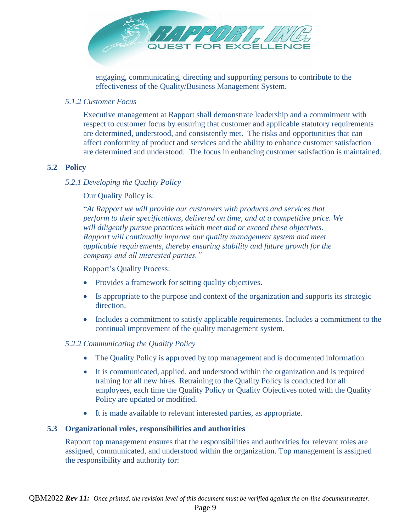

engaging, communicating, directing and supporting persons to contribute to the effectiveness of the Quality/Business Management System.

### <span id="page-8-0"></span>*5.1.2 Customer Focus*

Executive management at Rapport shall demonstrate leadership and a commitment with respect to customer focus by ensuring that customer and applicable statutory requirements are determined, understood, and consistently met. The risks and opportunities that can affect conformity of product and services and the ability to enhance customer satisfaction are determined and understood. The focus in enhancing customer satisfaction is maintained.

# <span id="page-8-2"></span><span id="page-8-1"></span>**5.2 Policy**

#### *5.2.1 Developing the Quality Policy*

Our Quality Policy is:

"*At Rapport we will provide our customers with products and services that perform to their specifications, delivered on time, and at a competitive price. We will diligently pursue practices which meet and or exceed these objectives. Rapport will continually improve our quality management system and meet applicable requirements, thereby ensuring stability and future growth for the company and all interested parties."*

Rapport's Quality Process:

- Provides a framework for setting quality objectives.
- Is appropriate to the purpose and context of the organization and supports its strategic direction.
- Includes a commitment to satisfy applicable requirements. Includes a commitment to the continual improvement of the quality management system.

#### <span id="page-8-3"></span>*5.2.2 Communicating the Quality Policy*

- The Quality Policy is approved by top management and is documented information.
- It is communicated, applied, and understood within the organization and is required training for all new hires. Retraining to the Quality Policy is conducted for all employees, each time the Quality Policy or Quality Objectives noted with the Quality Policy are updated or modified.
- It is made available to relevant interested parties, as appropriate.

#### <span id="page-8-4"></span>**5.3 Organizational roles, responsibilities and authorities**

Rapport top management ensures that the responsibilities and authorities for relevant roles are assigned, communicated, and understood within the organization. Top management is assigned the responsibility and authority for: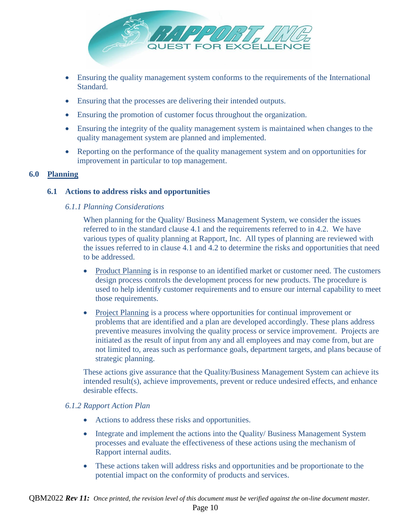

- Ensuring the quality management system conforms to the requirements of the International Standard.
- Ensuring that the processes are delivering their intended outputs.
- Ensuring the promotion of customer focus throughout the organization.
- Ensuring the integrity of the quality management system is maintained when changes to the quality management system are planned and implemented.
- Reporting on the performance of the quality management system and on opportunities for improvement in particular to top management.

#### <span id="page-9-1"></span><span id="page-9-0"></span>**6.0 Planning**

#### <span id="page-9-2"></span>**6.1 Actions to address risks and opportunities**

#### *6.1.1 Planning Considerations*

When planning for the Quality/ Business Management System, we consider the issues referred to in the standard clause 4.1 and the requirements referred to in 4.2. We have various types of quality planning at Rapport, Inc. All types of planning are reviewed with the issues referred to in clause 4.1 and 4.2 to determine the risks and opportunities that need to be addressed.

- Product Planning is in response to an identified market or customer need. The customers design process controls the development process for new products. The procedure is used to help identify customer requirements and to ensure our internal capability to meet those requirements.
- Project Planning is a process where opportunities for continual improvement or problems that are identified and a plan are developed accordingly. These plans address preventive measures involving the quality process or service improvement. Projects are initiated as the result of input from any and all employees and may come from, but are not limited to, areas such as performance goals, department targets, and plans because of strategic planning.

These actions give assurance that the Quality/Business Management System can achieve its intended result(s), achieve improvements, prevent or reduce undesired effects, and enhance desirable effects.

#### <span id="page-9-3"></span>*6.1.2 Rapport Action Plan*

- Actions to address these risks and opportunities.
- Integrate and implement the actions into the Quality/ Business Management System processes and evaluate the effectiveness of these actions using the mechanism of Rapport internal audits.
- These actions taken will address risks and opportunities and be proportionate to the potential impact on the conformity of products and services.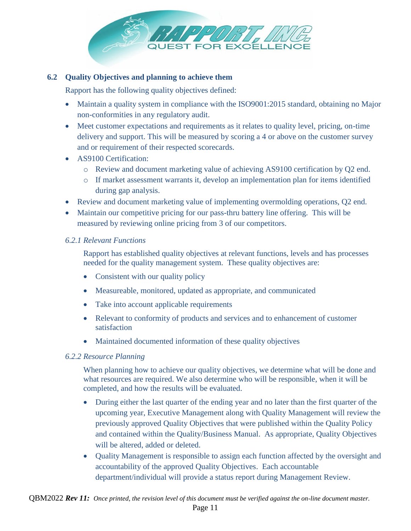

# <span id="page-10-0"></span>**6.2 Quality Objectives and planning to achieve them**

Rapport has the following quality objectives defined:

- Maintain a quality system in compliance with the ISO9001:2015 standard, obtaining no Major non-conformities in any regulatory audit.
- Meet customer expectations and requirements as it relates to quality level, pricing, on-time delivery and support. This will be measured by scoring a 4 or above on the customer survey and or requirement of their respected scorecards.
- AS9100 Certification:
	- o Review and document marketing value of achieving AS9100 certification by Q2 end.
	- o If market assessment warrants it, develop an implementation plan for items identified during gap analysis.
- Review and document marketing value of implementing overmolding operations, Q2 end.
- Maintain our competitive pricing for our pass-thru battery line offering. This will be measured by reviewing online pricing from 3 of our competitors.

# <span id="page-10-1"></span>*6.2.1 Relevant Functions*

Rapport has established quality objectives at relevant functions, levels and has processes needed for the quality management system. These quality objectives are:

- Consistent with our quality policy
- Measureable, monitored, updated as appropriate, and communicated
- Take into account applicable requirements
- Relevant to conformity of products and services and to enhancement of customer satisfaction
- Maintained documented information of these quality objectives

# <span id="page-10-2"></span>*6.2.2 Resource Planning*

When planning how to achieve our quality objectives, we determine what will be done and what resources are required. We also determine who will be responsible, when it will be completed, and how the results will be evaluated.

- During either the last quarter of the ending year and no later than the first quarter of the upcoming year, Executive Management along with Quality Management will review the previously approved Quality Objectives that were published within the Quality Policy and contained within the Quality/Business Manual. As appropriate, Quality Objectives will be altered, added or deleted.
- Quality Management is responsible to assign each function affected by the oversight and accountability of the approved Quality Objectives. Each accountable department/individual will provide a status report during Management Review.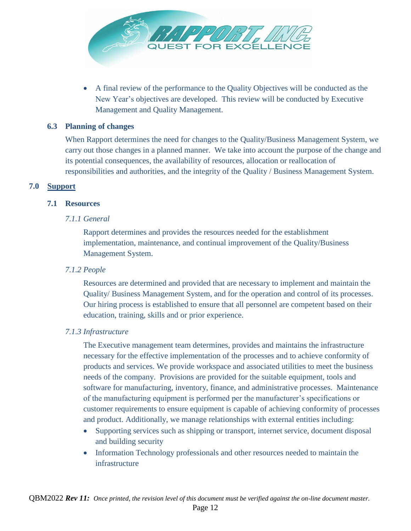

 A final review of the performance to the Quality Objectives will be conducted as the New Year's objectives are developed. This review will be conducted by Executive Management and Quality Management.

#### <span id="page-11-0"></span>**6.3 Planning of changes**

When Rapport determines the need for changes to the Quality/Business Management System, we carry out those changes in a planned manner. We take into account the purpose of the change and its potential consequences, the availability of resources, allocation or reallocation of responsibilities and authorities, and the integrity of the Quality / Business Management System.

#### <span id="page-11-2"></span><span id="page-11-1"></span>**7.0 Support**

#### <span id="page-11-3"></span>**7.1 Resources**

#### *7.1.1 General*

Rapport determines and provides the resources needed for the establishment implementation, maintenance, and continual improvement of the Quality/Business Management System.

### <span id="page-11-4"></span>*7.1.2 People*

Resources are determined and provided that are necessary to implement and maintain the Quality/ Business Management System, and for the operation and control of its processes. Our hiring process is established to ensure that all personnel are competent based on their education, training, skills and or prior experience.

#### <span id="page-11-5"></span>*7.1.3 Infrastructure*

The Executive management team determines, provides and maintains the infrastructure necessary for the effective implementation of the processes and to achieve conformity of products and services. We provide workspace and associated utilities to meet the business needs of the company. Provisions are provided for the suitable equipment, tools and software for manufacturing, inventory, finance, and administrative processes. Maintenance of the manufacturing equipment is performed per the manufacturer's specifications or customer requirements to ensure equipment is capable of achieving conformity of processes and product. Additionally, we manage relationships with external entities including:

- Supporting services such as shipping or transport, internet service, document disposal and building security
- Information Technology professionals and other resources needed to maintain the infrastructure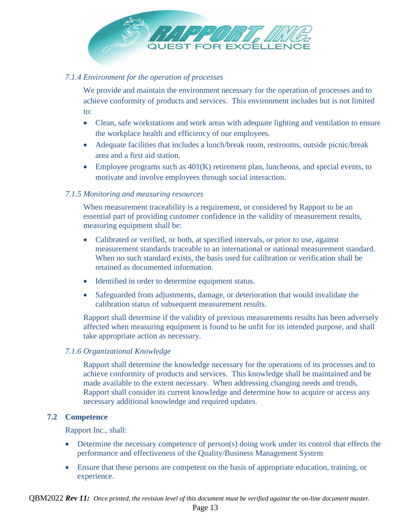

### <span id="page-12-0"></span>*7.1.4 Environment for the operation of processes*

We provide and maintain the environment necessary for the operation of processes and to achieve conformity of products and services. This environment includes but is not limited to:

- Clean, safe workstations and work areas with adequate lighting and ventilation to ensure the workplace health and efficiency of our employees.
- Adequate facilities that includes a lunch/break room, restrooms, outside picnic/break area and a first aid station.
- $\bullet$  Employee programs such as  $401(K)$  retirement plan, luncheons, and special events, to motivate and involve employees through social interaction.

#### <span id="page-12-1"></span>*7.1.5 Monitoring and measuring resources*

When measurement traceability is a requirement, or considered by Rapport to be an essential part of providing customer confidence in the validity of measurement results, measuring equipment shall be:

- Calibrated or verified, or both, at specified intervals, or prior to use, against measurement standards traceable to an international or national measurement standard. When no such standard exists, the basis used for calibration or verification shall be retained as documented information.
- Identified in order to determine equipment status.
- Safeguarded from adjustments, damage, or deterioration that would invalidate the calibration status of subsequent measurement results.

Rapport shall determine if the validity of previous measurements results has been adversely affected when measuring equipment is found to be unfit for its intended purpose, and shall take appropriate action as necessary.

#### <span id="page-12-2"></span>*7.1.6 Organizational Knowledge*

Rapport shall determine the knowledge necessary for the operations of its processes and to achieve conformity of products and services. This knowledge shall be maintained and be made available to the extent necessary. When addressing changing needs and trends, Rapport shall consider its current knowledge and determine how to acquire or access any necessary additional knowledge and required updates.

#### <span id="page-12-3"></span>**7.2 Competence**

Rapport Inc., shall:

- Determine the necessary competence of person(s) doing work under its control that effects the performance and effectiveness of the Quality/Business Management System
- Ensure that these persons are competent on the basis of appropriate education, training, or experience.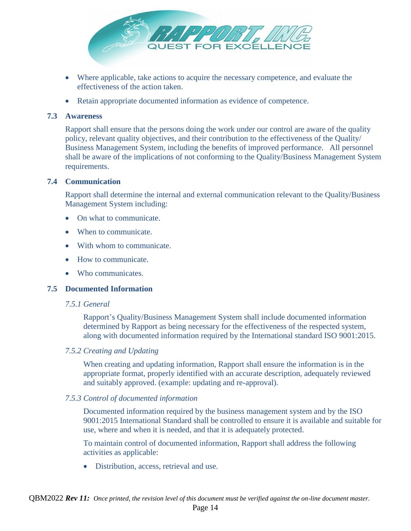

- Where applicable, take actions to acquire the necessary competence, and evaluate the effectiveness of the action taken.
- Retain appropriate documented information as evidence of competence.

# <span id="page-13-0"></span>**7.3 Awareness**

Rapport shall ensure that the persons doing the work under our control are aware of the quality policy, relevant quality objectives, and their contribution to the effectiveness of the Quality/ Business Management System, including the benefits of improved performance. All personnel shall be aware of the implications of not conforming to the Quality/Business Management System requirements.

#### <span id="page-13-1"></span>**7.4 Communication**

Rapport shall determine the internal and external communication relevant to the Quality/Business Management System including:

- On what to communicate.
- When to communicate.
- With whom to communicate.
- How to communicate.
- Who communicates.

#### <span id="page-13-3"></span><span id="page-13-2"></span>**7.5 Documented Information**

#### *7.5.1 General*

Rapport's Quality/Business Management System shall include documented information determined by Rapport as being necessary for the effectiveness of the respected system, along with documented information required by the International standard ISO 9001:2015.

#### <span id="page-13-4"></span>*7.5.2 Creating and Updating*

When creating and updating information, Rapport shall ensure the information is in the appropriate format, properly identified with an accurate description, adequately reviewed and suitably approved. (example: updating and re-approval).

#### <span id="page-13-5"></span>*7.5.3 Control of documented information*

Documented information required by the business management system and by the ISO 9001:2015 International Standard shall be controlled to ensure it is available and suitable for use, where and when it is needed, and that it is adequately protected.

To maintain control of documented information, Rapport shall address the following activities as applicable:

Distribution, access, retrieval and use.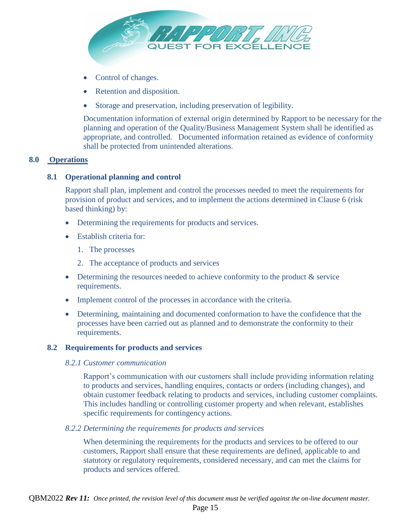

- Control of changes.
- Retention and disposition.
- Storage and preservation, including preservation of legibility.

Documentation information of external origin determined by Rapport to be necessary for the planning and operation of the Quality/Business Management System shall be identified as appropriate, and controlled. Documented information retained as evidence of conformity shall be protected from unintended alterations.

#### <span id="page-14-1"></span>**8.0 Operations**

#### <span id="page-14-0"></span>**8.1 Operational planning and control**

Rapport shall plan, implement and control the processes needed to meet the requirements for provision of product and services, and to implement the actions determined in Clause 6 (risk based thinking) by:

- Determining the requirements for products and services.
- Establish criteria for:
	- 1. The processes
	- 2. The acceptance of products and services
- $\bullet$  Determining the resources needed to achieve conformity to the product  $\&$  service requirements.
- Implement control of the processes in accordance with the criteria.
- Determining, maintaining and documented conformation to have the confidence that the processes have been carried out as planned and to demonstrate the conformity to their requirements.

#### <span id="page-14-3"></span><span id="page-14-2"></span>**8.2 Requirements for products and services**

#### *8.2.1 Customer communication*

Rapport's communication with our customers shall include providing information relating to products and services, handling enquires, contacts or orders (including changes), and obtain customer feedback relating to products and services, including customer complaints. This includes handling or controlling customer property and when relevant, establishes specific requirements for contingency actions.

#### <span id="page-14-4"></span>*8.2.2 Determining the requirements for products and services*

When determining the requirements for the products and services to be offered to our customers, Rapport shall ensure that these requirements are defined, applicable to and statutory or regulatory requirements, considered necessary, and can met the claims for products and services offered.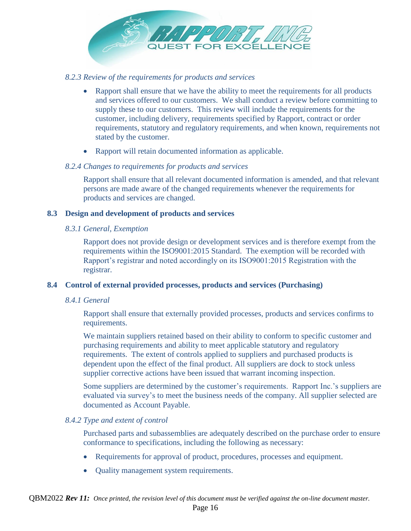

#### <span id="page-15-0"></span>*8.2.3 Review of the requirements for products and services*

- Rapport shall ensure that we have the ability to meet the requirements for all products and services offered to our customers. We shall conduct a review before committing to supply these to our customers. This review will include the requirements for the customer, including delivery, requirements specified by Rapport, contract or order requirements, statutory and regulatory requirements, and when known, requirements not stated by the customer.
- Rapport will retain documented information as applicable.

#### <span id="page-15-1"></span>*8.2.4 Changes to requirements for products and services*

Rapport shall ensure that all relevant documented information is amended, and that relevant persons are made aware of the changed requirements whenever the requirements for products and services are changed.

#### <span id="page-15-3"></span><span id="page-15-2"></span>**8.3 Design and development of products and services**

#### *8.3.1 General, Exemption*

Rapport does not provide design or development services and is therefore exempt from the requirements within the ISO9001:2015 Standard. The exemption will be recorded with Rapport's registrar and noted accordingly on its ISO9001:2015 Registration with the registrar.

# <span id="page-15-5"></span><span id="page-15-4"></span>**8.4 Control of external provided processes, products and services (Purchasing)**

#### *8.4.1 General*

Rapport shall ensure that externally provided processes, products and services confirms to requirements.

We maintain suppliers retained based on their ability to conform to specific customer and purchasing requirements and ability to meet applicable statutory and regulatory requirements. The extent of controls applied to suppliers and purchased products is dependent upon the effect of the final product. All suppliers are dock to stock unless supplier corrective actions have been issued that warrant incoming inspection.

Some suppliers are determined by the customer's requirements. Rapport Inc.'s suppliers are evaluated via survey's to meet the business needs of the company. All supplier selected are documented as Account Payable.

#### <span id="page-15-6"></span>*8.4.2 Type and extent of control*

Purchased parts and subassemblies are adequately described on the purchase order to ensure conformance to specifications, including the following as necessary:

- Requirements for approval of product, procedures, processes and equipment.
- Quality management system requirements.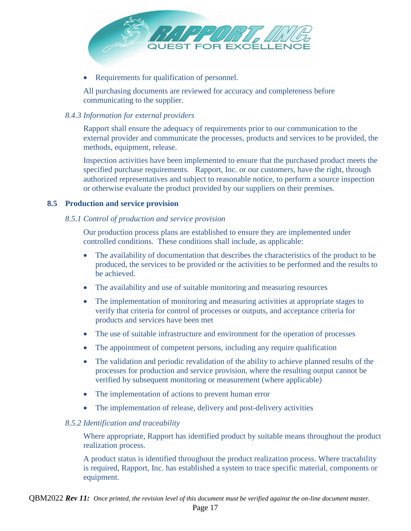

Requirements for qualification of personnel.

All purchasing documents are reviewed for accuracy and completeness before communicating to the supplier.

# <span id="page-16-0"></span>*8.4.3 Information for external providers*

Rapport shall ensure the adequacy of requirements prior to our communication to the external provider and communicate the processes, products and services to be provided, the methods, equipment, release.

Inspection activities have been implemented to ensure that the purchased product meets the specified purchase requirements. Rapport, Inc. or our customers, have the right, through authorized representatives and subject to reasonable notice, to perform a source inspection or otherwise evaluate the product provided by our suppliers on their premises.

#### <span id="page-16-2"></span><span id="page-16-1"></span>**8.5 Production and service provision**

#### *8.5.1 Control of production and service provision*

Our production process plans are established to ensure they are implemented under controlled conditions. These conditions shall include, as applicable:

- The availability of documentation that describes the characteristics of the product to be produced, the services to be provided or the activities to be performed and the results to be achieved.
- The availability and use of suitable monitoring and measuring resources
- The implementation of monitoring and measuring activities at appropriate stages to verify that criteria for control of processes or outputs, and acceptance criteria for products and services have been met
- The use of suitable infrastructure and environment for the operation of processes
- The appointment of competent persons, including any require qualification
- The validation and periodic revalidation of the ability to achieve planned results of the processes for production and service provision, where the resulting output cannot be verified by subsequent monitoring or measurement (where applicable)
- The implementation of actions to prevent human error
- The implementation of release, delivery and post-delivery activities

#### <span id="page-16-3"></span>*8.5.2 Identification and traceability*

Where appropriate, Rapport has identified product by suitable means throughout the product realization process.

A product status is identified throughout the product realization process. Where tractability is required, Rapport, Inc. has established a system to trace specific material, components or equipment.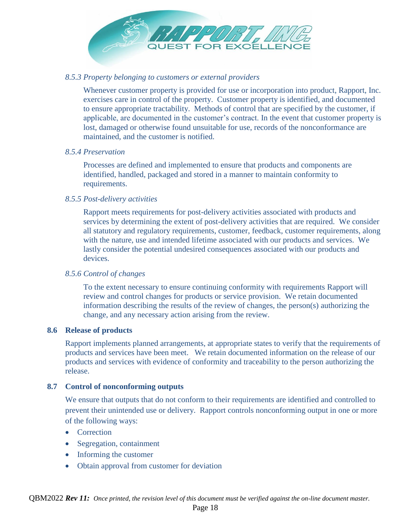

#### <span id="page-17-0"></span>*8.5.3 Property belonging to customers or external providers*

Whenever customer property is provided for use or incorporation into product, Rapport, Inc. exercises care in control of the property. Customer property is identified, and documented to ensure appropriate tractability. Methods of control that are specified by the customer, if applicable, are documented in the customer's contract. In the event that customer property is lost, damaged or otherwise found unsuitable for use, records of the nonconformance are maintained, and the customer is notified.

#### <span id="page-17-1"></span>*8.5.4 Preservation*

Processes are defined and implemented to ensure that products and components are identified, handled, packaged and stored in a manner to maintain conformity to requirements.

#### <span id="page-17-2"></span>*8.5.5 Post-delivery activities*

Rapport meets requirements for post-delivery activities associated with products and services by determining the extent of post-delivery activities that are required. We consider all statutory and regulatory requirements, customer, feedback, customer requirements, along with the nature, use and intended lifetime associated with our products and services. We lastly consider the potential undesired consequences associated with our products and devices.

#### <span id="page-17-3"></span>*8.5.6 Control of changes*

To the extent necessary to ensure continuing conformity with requirements Rapport will review and control changes for products or service provision. We retain documented information describing the results of the review of changes, the person(s) authorizing the change, and any necessary action arising from the review.

#### <span id="page-17-4"></span>**8.6 Release of products**

Rapport implements planned arrangements, at appropriate states to verify that the requirements of products and services have been meet. We retain documented information on the release of our products and services with evidence of conformity and traceability to the person authorizing the release.

#### <span id="page-17-5"></span>**8.7 Control of nonconforming outputs**

We ensure that outputs that do not conform to their requirements are identified and controlled to prevent their unintended use or delivery. Rapport controls nonconforming output in one or more of the following ways:

- Correction
- Segregation, containment
- Informing the customer
- Obtain approval from customer for deviation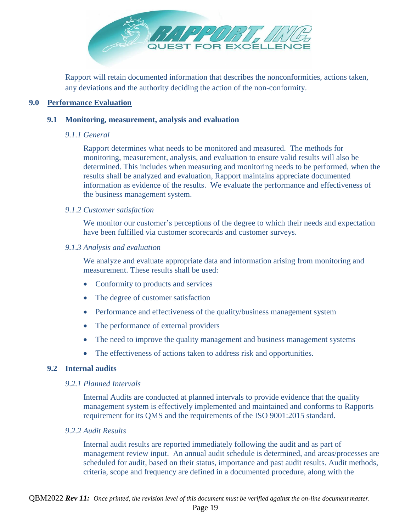

Rapport will retain documented information that describes the nonconformities, actions taken, any deviations and the authority deciding the action of the non-conformity.

#### <span id="page-18-1"></span><span id="page-18-0"></span>**9.0 Performance Evaluation**

#### <span id="page-18-2"></span>**9.1 Monitoring, measurement, analysis and evaluation**

#### *9.1.1 General*

Rapport determines what needs to be monitored and measured. The methods for monitoring, measurement, analysis, and evaluation to ensure valid results will also be determined. This includes when measuring and monitoring needs to be performed, when the results shall be analyzed and evaluation, Rapport maintains appreciate documented information as evidence of the results. We evaluate the performance and effectiveness of the business management system.

#### <span id="page-18-3"></span>*9.1.2 Customer satisfaction*

We monitor our customer's perceptions of the degree to which their needs and expectation have been fulfilled via customer scorecards and customer surveys.

#### <span id="page-18-4"></span>*9.1.3 Analysis and evaluation*

We analyze and evaluate appropriate data and information arising from monitoring and measurement. These results shall be used:

- Conformity to products and services
- The degree of customer satisfaction
- Performance and effectiveness of the quality/business management system
- The performance of external providers
- The need to improve the quality management and business management systems
- The effectiveness of actions taken to address risk and opportunities.

# <span id="page-18-6"></span><span id="page-18-5"></span>**9.2 Internal audits**

#### *9.2.1 Planned Intervals*

Internal Audits are conducted at planned intervals to provide evidence that the quality management system is effectively implemented and maintained and conforms to Rapports requirement for its QMS and the requirements of the ISO 9001:2015 standard.

#### <span id="page-18-7"></span>*9.2.2 Audit Results*

Internal audit results are reported immediately following the audit and as part of management review input. An annual audit schedule is determined, and areas/processes are scheduled for audit, based on their status, importance and past audit results. Audit methods, criteria, scope and frequency are defined in a documented procedure, along with the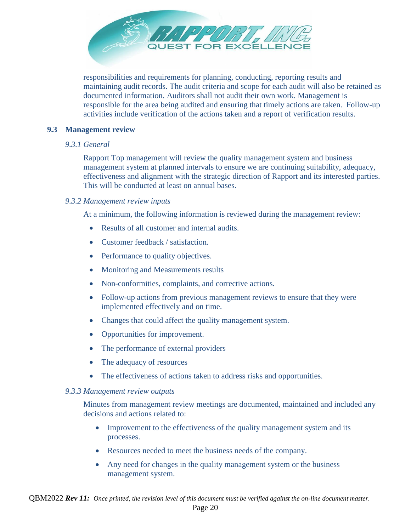

responsibilities and requirements for planning, conducting, reporting results and maintaining audit records. The audit criteria and scope for each audit will also be retained as documented information. Auditors shall not audit their own work. Management is responsible for the area being audited and ensuring that timely actions are taken. Follow-up activities include verification of the actions taken and a report of verification results.

#### <span id="page-19-1"></span><span id="page-19-0"></span>**9.3 Management review**

#### *9.3.1 General*

Rapport Top management will review the quality management system and business management system at planned intervals to ensure we are continuing suitability, adequacy, effectiveness and alignment with the strategic direction of Rapport and its interested parties. This will be conducted at least on annual bases.

#### <span id="page-19-2"></span>*9.3.2 Management review inputs*

At a minimum, the following information is reviewed during the management review:

- Results of all customer and internal audits.
- Customer feedback / satisfaction.
- Performance to quality objectives.
- Monitoring and Measurements results
- Non-conformities, complaints, and corrective actions.
- Follow-up actions from previous management reviews to ensure that they were implemented effectively and on time.
- Changes that could affect the quality management system.
- Opportunities for improvement.
- The performance of external providers
- The adequacy of resources
- The effectiveness of actions taken to address risks and opportunities.

#### <span id="page-19-3"></span>*9.3.3 Management review outputs*

Minutes from management review meetings are documented, maintained and included any decisions and actions related to:

- Improvement to the effectiveness of the quality management system and its processes.
- Resources needed to meet the business needs of the company.
- Any need for changes in the quality management system or the business management system.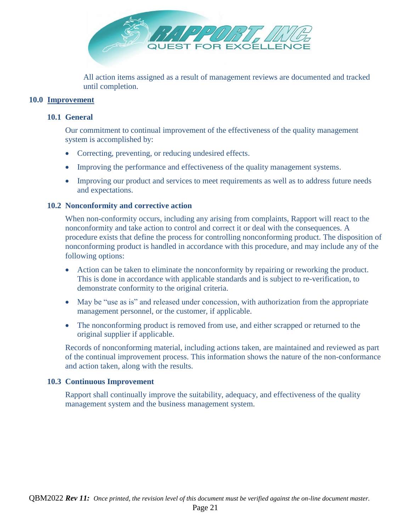

All action items assigned as a result of management reviews are documented and tracked until completion.

#### <span id="page-20-1"></span><span id="page-20-0"></span>**10.0 Improvement**

#### **10.1 General**

Our commitment to continual improvement of the effectiveness of the quality management system is accomplished by:

- Correcting, preventing, or reducing undesired effects.
- Improving the performance and effectiveness of the quality management systems.
- Improving our product and services to meet requirements as well as to address future needs and expectations.

#### <span id="page-20-2"></span>**10.2 Nonconformity and corrective action**

When non-conformity occurs, including any arising from complaints, Rapport will react to the nonconformity and take action to control and correct it or deal with the consequences. A procedure exists that define the process for controlling nonconforming product. The disposition of nonconforming product is handled in accordance with this procedure, and may include any of the following options:

- Action can be taken to eliminate the nonconformity by repairing or reworking the product. This is done in accordance with applicable standards and is subject to re-verification, to demonstrate conformity to the original criteria.
- May be "use as is" and released under concession, with authorization from the appropriate management personnel, or the customer, if applicable.
- The nonconforming product is removed from use, and either scrapped or returned to the original supplier if applicable.

Records of nonconforming material, including actions taken, are maintained and reviewed as part of the continual improvement process. This information shows the nature of the non-conformance and action taken, along with the results.

#### <span id="page-20-3"></span>**10.3 Continuous Improvement**

Rapport shall continually improve the suitability, adequacy, and effectiveness of the quality management system and the business management system.